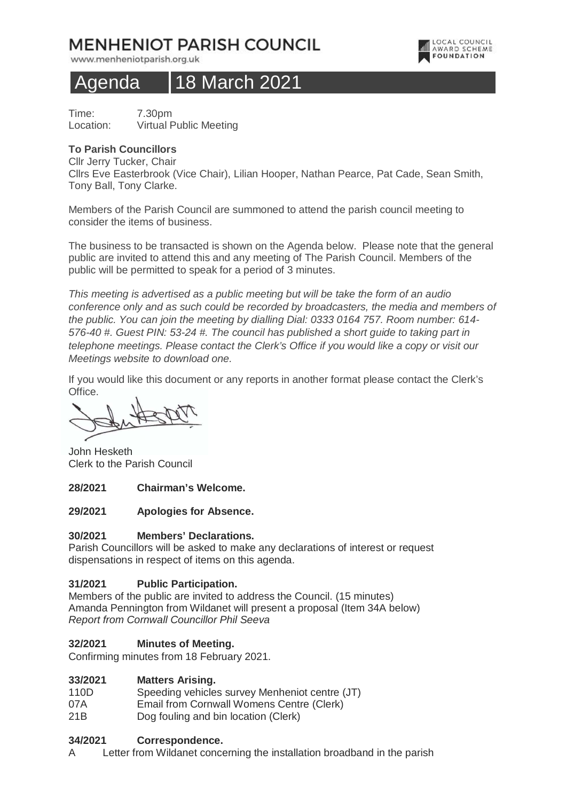# **MENHENIOT PARISH COUNCIL**

www.menheniotparish.org.uk



# Agenda 18 March 2021

Time: 7.30pm Location: Virtual Public Meeting

## **To Parish Councillors**

Cllr Jerry Tucker, Chair

Cllrs Eve Easterbrook (Vice Chair), Lilian Hooper, Nathan Pearce, Pat Cade, Sean Smith, Tony Ball, Tony Clarke.

Members of the Parish Council are summoned to attend the parish council meeting to consider the items of business.

The business to be transacted is shown on the Agenda below. Please note that the general public are invited to attend this and any meeting of The Parish Council. Members of the public will be permitted to speak for a period of 3 minutes.

This meeting is advertised as a public meeting but will be take the form of an audio conference only and as such could be recorded by broadcasters, the media and members of the public. You can join the meeting by dialling Dial: 0333 0164 757. Room number: 614- 576-40 #. Guest PIN: 53-24 #. The council has published a short guide to taking part in telephone meetings. Please contact the Clerk's Office if you would like a copy or visit our Meetings website to download one.

If you would like this document or any reports in another format please contact the Clerk's Office.

John Hesketh Clerk to the Parish Council

### **28/2021 Chairman's Welcome.**

## **29/2021 Apologies for Absence.**

# **30/2021 Members' Declarations.**

Parish Councillors will be asked to make any declarations of interest or request dispensations in respect of items on this agenda.

# **31/2021 Public Participation.**

Members of the public are invited to address the Council. (15 minutes) Amanda Pennington from Wildanet will present a proposal (Item 34A below) Report from Cornwall Councillor Phil Seeva

### **32/2021 Minutes of Meeting.**

Confirming minutes from 18 February 2021.

### **33/2021 Matters Arising.**

- 110D Speeding vehicles survey Menheniot centre (JT)
- 07A Email from Cornwall Womens Centre (Clerk)
- 21B Dog fouling and bin location (Clerk)

### **34/2021 Correspondence.**

A Letter from Wildanet concerning the installation broadband in the parish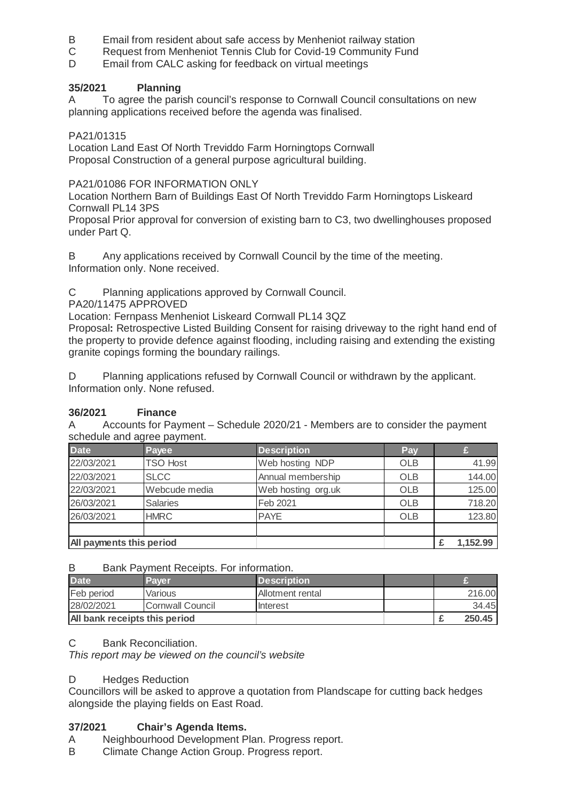- B Email from resident about safe access by Menheniot railway station
- C Request from Menheniot Tennis Club for Covid-19 Community Fund
- D Email from CALC asking for feedback on virtual meetings

# **35/2021 Planning**

A To agree the parish council's response to Cornwall Council consultations on new planning applications received before the agenda was finalised.

# PA21/01315

Location Land East Of North Treviddo Farm Horningtops Cornwall Proposal Construction of a general purpose agricultural building.

## PA21/01086 FOR INFORMATION ONLY

Location Northern Barn of Buildings East Of North Treviddo Farm Horningtops Liskeard Cornwall PL14 3PS

Proposal Prior approval for conversion of existing barn to C3, two dwellinghouses proposed under Part Q.

B Any applications received by Cornwall Council by the time of the meeting. Information only. None received.

C Planning applications approved by Cornwall Council.

## PA20/11475 APPROVED

Location: Fernpass Menheniot Liskeard Cornwall PL14 3QZ

Proposal**:** Retrospective Listed Building Consent for raising driveway to the right hand end of the property to provide defence against flooding, including raising and extending the existing granite copings forming the boundary railings.

D Planning applications refused by Cornwall Council or withdrawn by the applicant. Information only. None refused.

# **36/2021 Finance**

A Accounts for Payment – Schedule 2020/21 - Members are to consider the payment schedule and agree payment.

| <b>Date</b>              | Payee           | <b>Description</b> | Pay        |          |
|--------------------------|-----------------|--------------------|------------|----------|
| 22/03/2021               | <b>TSO Host</b> | Web hosting NDP    | OLB        | 41.99    |
| 22/03/2021               | <b>SLCC</b>     | Annual membership  | <b>OLB</b> | 144.00   |
| 22/03/2021               | Webcude media   | Web hosting org.uk | OLB        | 125.00   |
| 26/03/2021               | <b>Salaries</b> | Feb 2021           | OLB        | 718.20   |
| 26/03/2021               | <b>HMRC</b>     | <b>PAYE</b>        | OLB        | 123.80   |
|                          |                 |                    |            |          |
| All payments this period |                 |                    |            | 1,152.99 |

### B Bank Payment Receipts. For information.

| <b>Date</b>                   | Paver            | <b>Description</b> |  |        |
|-------------------------------|------------------|--------------------|--|--------|
| Feb period                    | Various          | Allotment rental   |  | 216,00 |
| 28/02/2021                    | Cornwall Council | Interest           |  | 34.45  |
| All bank receipts this period |                  |                    |  | 250.45 |

### C Bank Reconciliation.

This report may be viewed on the council's website

### D Hedges Reduction

Councillors will be asked to approve a quotation from Plandscape for cutting back hedges alongside the playing fields on East Road.

# **37/2021 Chair's Agenda Items.**

- A Neighbourhood Development Plan. Progress report.
- B Climate Change Action Group. Progress report.